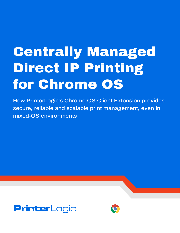# Centrally Managed Direct IP Printing for Chrome OS

How PrinterLogic's Chrome OS Client Extension provides secure, reliable and scalable print management, even in mixed-OS environments



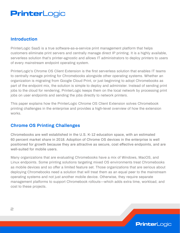# **PrinterLogic**

# **Introduction**

PrinterLogic SaaS is a true software-as-a-service print management platform that helps customers eliminate print servers and centrally manage direct IP printing. It is a highly available, serverless solution that's printer-agnostic and allows IT administrators to deploy printers to users of every mainstream endpoint operating system.

PrinterLogic's Chrome OS Client Extension is the first serverless solution that enables IT teams to centrally manage printing for Chromebooks alongside other operating systems. Whether an organization is migrating from Google Cloud Print, or just beginning to adopt Chromebooks as part of the endpoint mix, the solution is simple to deploy and administer. Instead of sending print jobs to the cloud for rendering, PrinterLogic keeps them on the local network by processing print jobs on user endpoints and sending the jobs directly to network printers.

This paper explains how the PrinterLogic Chrome OS Client Extension solves Chromebook printing challenges in the enterprise and provides a high-level overview of how the extension works.

## **Chrome OS Printing Challenges**

Chromebooks are well established in the U.S. K-12 education space, with an estimated 60 percent market share in 2018. Adoption of Chrome OS devices in the enterprise is well positioned for growth because they are attractive as secure, cost effective endpoints, and are well-suited for mobile users.

Many organizations that are evaluating Chromebooks have a mix of Windows, MacOS, and Linux endpoints. Some printing solutions targeting mixed OS environments treat Chromebooks as mobile devices and so offer a limited feature set. Those organizations that are serious about deploying Chromebooks need a solution that will treat them as an equal peer to the mainstream operating systems and not just another mobile device. Otherwise, they require separate management platforms to support Chromebook rollouts—which adds extra time, workload, and cost to these projects.

**PrinterLogic**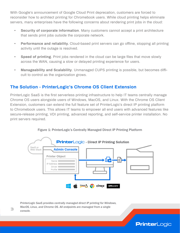With Google's announcement of Google Cloud Print deprecation, customers are forced to reconsider how to architect printing for Chromebook users. While cloud printing helps eliminate servers, many enterprises have the following concerns about rendering print jobs in the cloud:

- **• Security of corporate information**. Many customers cannot accept a print architecture that sends print jobs outside the corporate network.
- **• Performance and reliability.** Cloud-based print servers can go offline, stopping all printing activity until the outage is resolved.
- **• Speed of printing**. Print jobs rendered in the cloud can be large files that move slowly across the WAN, causing a slow or delayed printing experience for users.
- **• Manageability and Scalability**. Unmanaged CUPS printing is possible, but becomes difficult to control as the organization grows.

#### **The Solution - PrinterLogic's Chrome OS Client Extension**

PrinterLogic SaaS is the first serverless printing infrastructure to help IT teams centrally manage Chrome OS users alongside users of Windows, MacOS, and Linux. With the Chrome OS Client Extension, customers can extend the full feature set of PrinterLogic's direct IP printing platform to Chromebook users. This allows IT teams to empower all end users with advanced features like secure-release printing, VDI printing, advanced reporting, and self-service printer installation. No print servers required.



**PrinterLogic** 

Figure 1: PrinterLogic's Centrally Managed Direct IP Printing Platform

*PrinterLogic SaaS provides centrally managed direct IP printing for Windows, MacOS, Linux, and Chrome OS. All endpoints are managed from a single console.*

3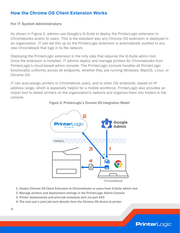## **How the Chrome OS Client Extension Works**

#### **For IT System Administrators**

As shown in Figure 2, admins use Google's G-Suite to deploy the PrinterLogic extension to Chromebooks and/or to users. This is the standard way any Chrome OS extension is deployed in an organization. IT can set this up so the PrinterLogic extension is automatically pushed to any new Chromebook that logs in to the network.

Deploying the PrinterLogic extension is the only step that requires the G-Suite admin tool. Once the extension is installed, IT admins deploy and manage printers for Chromebooks from PrinterLogic's cloud-based admin console. The PrinterLogic console handles all PrinterLogic functionality uniformly across all endpoints, whether they are running Windows, MacOS, Linux, or Chrome OS.

IT can auto-assign printers to Chromebook users, and to other OS endpoints, based on IP address range, which is especially helpful for a mobile workforce. PrinterLogic also provides an import tool to detect printers on the organization's network and organize them into folders in the console.



**PrinterLogic** 

#### Figure 2: PrinterLogic's Chrome OS Integration Model

- 1. Deploy Chrome OS Client Extension to Chromebooks or users from G-Suite admin tool
- 2. Manage printers and deployment settings in the PrinterLogic Admin Console
- 3. Printer deployments and print job metadata sent via port 443
- 4. The end user's print job sent directly from the Chrome OS device to printer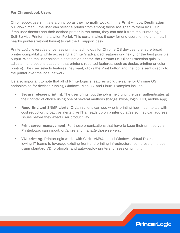#### **For Chromebook Users**

Chromebook users initiate a print job as they normally would. In the **Print** window **Destination** pull-down menu, the user can select a printer from among those assigned to them by IT. Or, if the user doesn't see their desired printer in the menu, they can add it from the PrinterLogic Self-Service Printer Installation Portal. This portal makes it easy for end users to find and install nearby printers without having to call the IT support desk.

PrinterLogic leverages driverless printing technology for Chrome OS devices to ensure broad printer compatibility while accessing a printer's advanced features on-the-fly for the best possible output. When the user selects a destination printer, the Chrome OS Client Extension quickly adjusts menu options based on that printer's reported features, such as duplex printing or color printing. The user selects features they want, clicks the Print button and the job is sent directly to the printer over the local network.

It's also important to note that all of PrinterLogic's features work the same for Chrome OS endpoints as for devices running Windows, MacOS, and Linux. Examples include:

- **• Secure release printing**. The user prints, but the job is held until the user authenticates at their printer of choice using one of several methods (badge swipe, login, PIN, mobile app).
- **• Reporting and SNMP alerts**. Organizations can see who is printing how much to aid with cost reduction; proactive alerts give IT a heads up on printer outages so they can address issues before they affect user productivity.
- **• Print server management**. For those organizations that have to keep their print servers, PrinterLogic can import, organize and manage those servers.
- **• VDI printing**. PrinterLogic works with Citrix, VMWare and Windows Virtual Desktop, allowing IT teams to leverage existing front-end printing infrastructure, compress print jobs using standard VDI protocols, and auto-deploy printers for session printing.